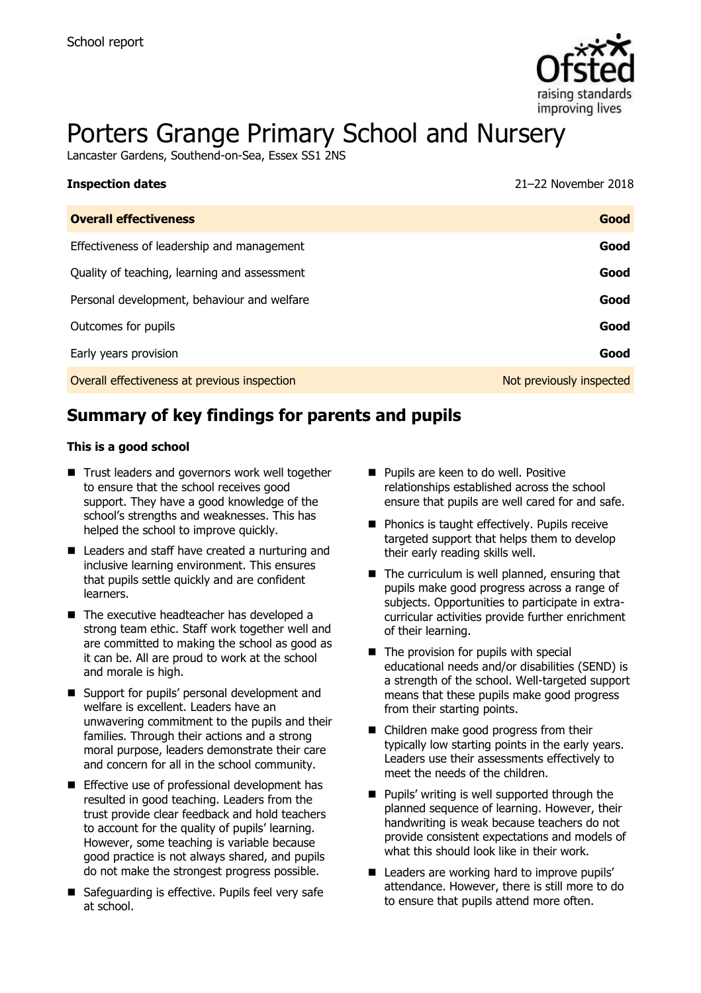

# Porters Grange Primary School and Nursery

Lancaster Gardens, Southend-on-Sea, Essex SS1 2NS

| <b>Inspection dates</b>                      | 21-22 November 2018      |
|----------------------------------------------|--------------------------|
| <b>Overall effectiveness</b>                 | Good                     |
| Effectiveness of leadership and management   | Good                     |
| Quality of teaching, learning and assessment | Good                     |
| Personal development, behaviour and welfare  | Good                     |
| Outcomes for pupils                          | Good                     |
| Early years provision                        | Good                     |
| Overall effectiveness at previous inspection | Not previously inspected |

# **Summary of key findings for parents and pupils**

#### **This is a good school**

- Trust leaders and governors work well together to ensure that the school receives good support. They have a good knowledge of the school's strengths and weaknesses. This has helped the school to improve quickly.
- Leaders and staff have created a nurturing and inclusive learning environment. This ensures that pupils settle quickly and are confident learners.
- The executive headteacher has developed a strong team ethic. Staff work together well and are committed to making the school as good as it can be. All are proud to work at the school and morale is high.
- Support for pupils' personal development and welfare is excellent. Leaders have an unwavering commitment to the pupils and their families. Through their actions and a strong moral purpose, leaders demonstrate their care and concern for all in the school community.
- **Effective use of professional development has** resulted in good teaching. Leaders from the trust provide clear feedback and hold teachers to account for the quality of pupils' learning. However, some teaching is variable because good practice is not always shared, and pupils do not make the strongest progress possible.
- Safeguarding is effective. Pupils feel very safe at school.
- **Pupils are keen to do well. Positive** relationships established across the school ensure that pupils are well cared for and safe.
- **Phonics is taught effectively. Pupils receive** targeted support that helps them to develop their early reading skills well.
- $\blacksquare$  The curriculum is well planned, ensuring that pupils make good progress across a range of subjects. Opportunities to participate in extracurricular activities provide further enrichment of their learning.
- $\blacksquare$  The provision for pupils with special educational needs and/or disabilities (SEND) is a strength of the school. Well-targeted support means that these pupils make good progress from their starting points.
- Children make good progress from their typically low starting points in the early years. Leaders use their assessments effectively to meet the needs of the children.
- $\blacksquare$  Pupils' writing is well supported through the planned sequence of learning. However, their handwriting is weak because teachers do not provide consistent expectations and models of what this should look like in their work.
- **Leaders are working hard to improve pupils'** attendance. However, there is still more to do to ensure that pupils attend more often.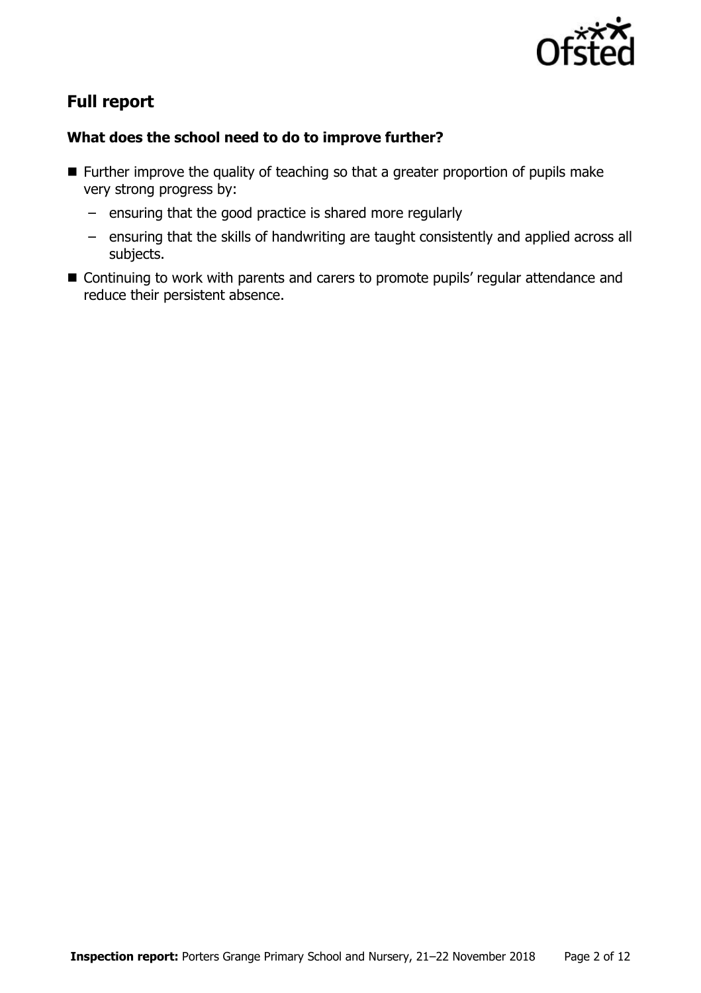

# **Full report**

### **What does the school need to do to improve further?**

- **Further improve the quality of teaching so that a greater proportion of pupils make** very strong progress by:
	- ensuring that the good practice is shared more regularly
	- ensuring that the skills of handwriting are taught consistently and applied across all subjects.
- Continuing to work with parents and carers to promote pupils' regular attendance and reduce their persistent absence.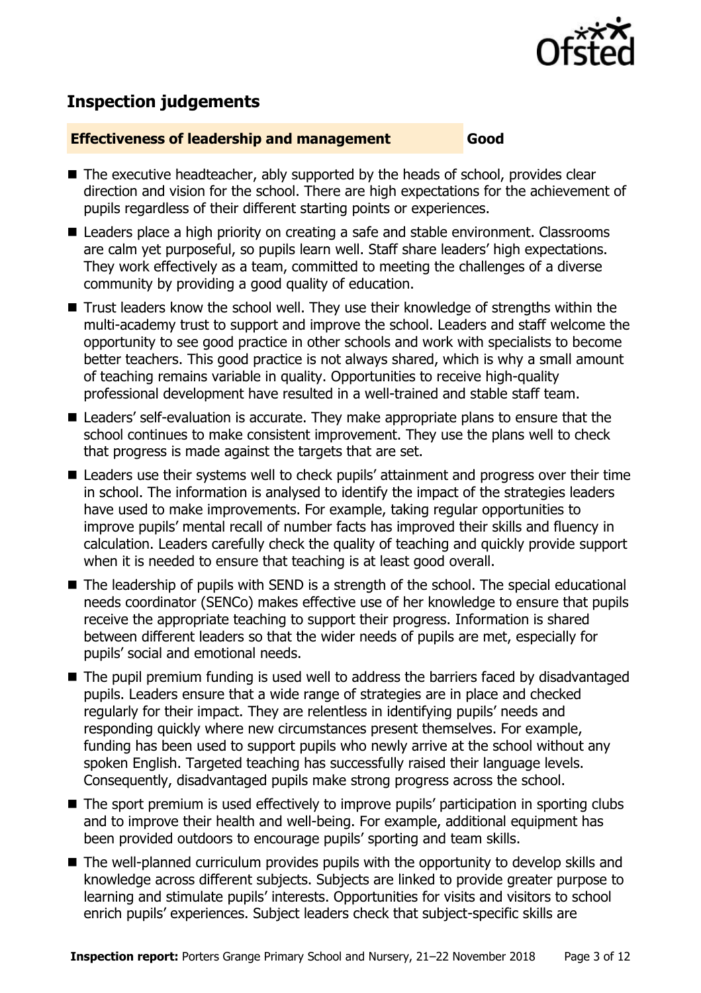

# **Inspection judgements**

#### **Effectiveness of leadership and management Good**

- $\blacksquare$  The executive headteacher, ably supported by the heads of school, provides clear direction and vision for the school. There are high expectations for the achievement of pupils regardless of their different starting points or experiences.
- Leaders place a high priority on creating a safe and stable environment. Classrooms are calm yet purposeful, so pupils learn well. Staff share leaders' high expectations. They work effectively as a team, committed to meeting the challenges of a diverse community by providing a good quality of education.
- Trust leaders know the school well. They use their knowledge of strengths within the multi-academy trust to support and improve the school. Leaders and staff welcome the opportunity to see good practice in other schools and work with specialists to become better teachers. This good practice is not always shared, which is why a small amount of teaching remains variable in quality. Opportunities to receive high-quality professional development have resulted in a well-trained and stable staff team.
- Leaders' self-evaluation is accurate. They make appropriate plans to ensure that the school continues to make consistent improvement. They use the plans well to check that progress is made against the targets that are set.
- Leaders use their systems well to check pupils' attainment and progress over their time in school. The information is analysed to identify the impact of the strategies leaders have used to make improvements. For example, taking regular opportunities to improve pupils' mental recall of number facts has improved their skills and fluency in calculation. Leaders carefully check the quality of teaching and quickly provide support when it is needed to ensure that teaching is at least good overall.
- The leadership of pupils with SEND is a strength of the school. The special educational needs coordinator (SENCo) makes effective use of her knowledge to ensure that pupils receive the appropriate teaching to support their progress. Information is shared between different leaders so that the wider needs of pupils are met, especially for pupils' social and emotional needs.
- The pupil premium funding is used well to address the barriers faced by disadvantaged pupils. Leaders ensure that a wide range of strategies are in place and checked regularly for their impact. They are relentless in identifying pupils' needs and responding quickly where new circumstances present themselves. For example, funding has been used to support pupils who newly arrive at the school without any spoken English. Targeted teaching has successfully raised their language levels. Consequently, disadvantaged pupils make strong progress across the school.
- The sport premium is used effectively to improve pupils' participation in sporting clubs and to improve their health and well-being. For example, additional equipment has been provided outdoors to encourage pupils' sporting and team skills.
- The well-planned curriculum provides pupils with the opportunity to develop skills and knowledge across different subjects. Subjects are linked to provide greater purpose to learning and stimulate pupils' interests. Opportunities for visits and visitors to school enrich pupils' experiences. Subject leaders check that subject-specific skills are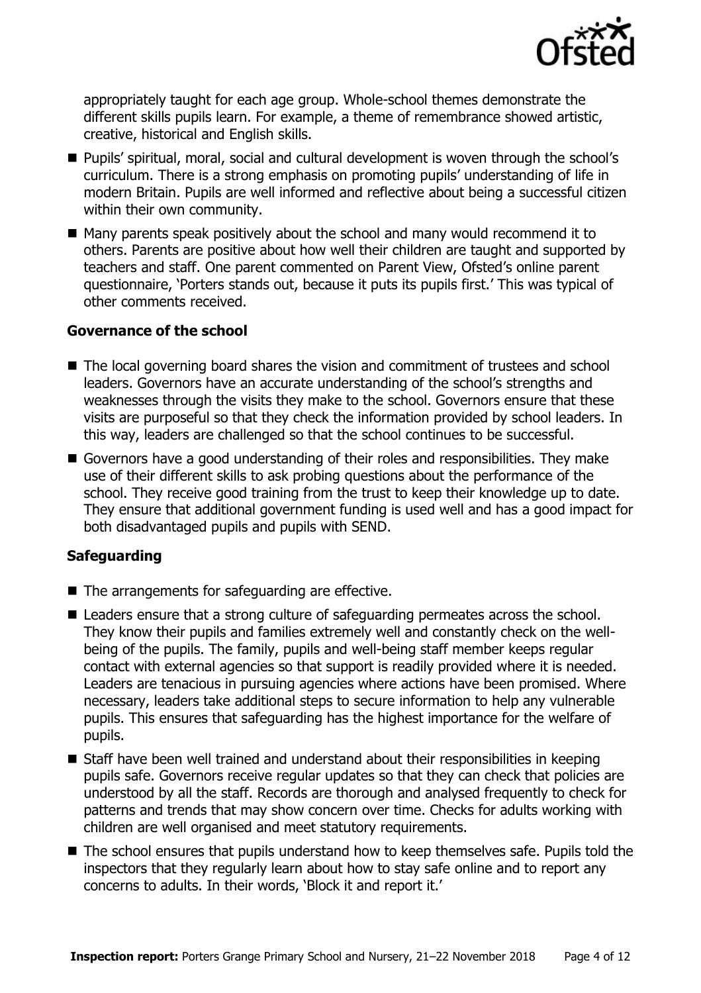

appropriately taught for each age group. Whole-school themes demonstrate the different skills pupils learn. For example, a theme of remembrance showed artistic, creative, historical and English skills.

- Pupils' spiritual, moral, social and cultural development is woven through the school's curriculum. There is a strong emphasis on promoting pupils' understanding of life in modern Britain. Pupils are well informed and reflective about being a successful citizen within their own community.
- $\blacksquare$  Many parents speak positively about the school and many would recommend it to others. Parents are positive about how well their children are taught and supported by teachers and staff. One parent commented on Parent View, Ofsted's online parent questionnaire, 'Porters stands out, because it puts its pupils first.' This was typical of other comments received.

#### **Governance of the school**

- The local governing board shares the vision and commitment of trustees and school leaders. Governors have an accurate understanding of the school's strengths and weaknesses through the visits they make to the school. Governors ensure that these visits are purposeful so that they check the information provided by school leaders. In this way, leaders are challenged so that the school continues to be successful.
- Governors have a good understanding of their roles and responsibilities. They make use of their different skills to ask probing questions about the performance of the school. They receive good training from the trust to keep their knowledge up to date. They ensure that additional government funding is used well and has a good impact for both disadvantaged pupils and pupils with SEND.

### **Safeguarding**

- The arrangements for safeguarding are effective.
- Leaders ensure that a strong culture of safeguarding permeates across the school. They know their pupils and families extremely well and constantly check on the wellbeing of the pupils. The family, pupils and well-being staff member keeps regular contact with external agencies so that support is readily provided where it is needed. Leaders are tenacious in pursuing agencies where actions have been promised. Where necessary, leaders take additional steps to secure information to help any vulnerable pupils. This ensures that safeguarding has the highest importance for the welfare of pupils.
- Staff have been well trained and understand about their responsibilities in keeping pupils safe. Governors receive regular updates so that they can check that policies are understood by all the staff. Records are thorough and analysed frequently to check for patterns and trends that may show concern over time. Checks for adults working with children are well organised and meet statutory requirements.
- The school ensures that pupils understand how to keep themselves safe. Pupils told the inspectors that they regularly learn about how to stay safe online and to report any concerns to adults. In their words, 'Block it and report it.'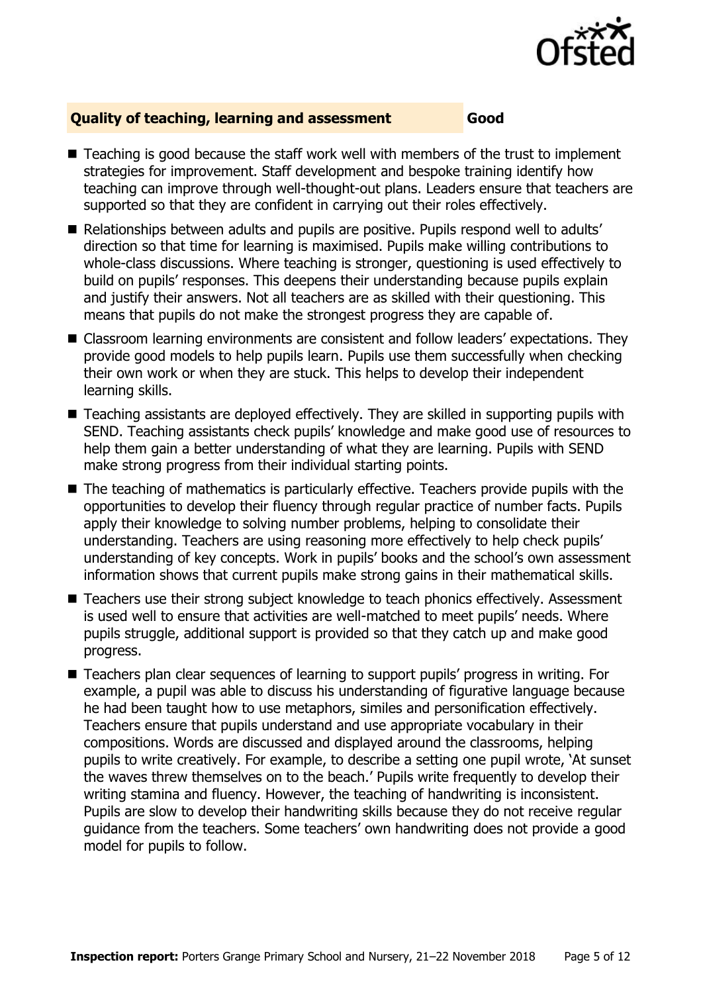

#### **Quality of teaching, learning and assessment Good**

- Teaching is good because the staff work well with members of the trust to implement strategies for improvement. Staff development and bespoke training identify how teaching can improve through well-thought-out plans. Leaders ensure that teachers are supported so that they are confident in carrying out their roles effectively.
- Relationships between adults and pupils are positive. Pupils respond well to adults' direction so that time for learning is maximised. Pupils make willing contributions to whole-class discussions. Where teaching is stronger, questioning is used effectively to build on pupils' responses. This deepens their understanding because pupils explain and justify their answers. Not all teachers are as skilled with their questioning. This means that pupils do not make the strongest progress they are capable of.
- Classroom learning environments are consistent and follow leaders' expectations. They provide good models to help pupils learn. Pupils use them successfully when checking their own work or when they are stuck. This helps to develop their independent learning skills.
- Teaching assistants are deployed effectively. They are skilled in supporting pupils with SEND. Teaching assistants check pupils' knowledge and make good use of resources to help them gain a better understanding of what they are learning. Pupils with SEND make strong progress from their individual starting points.
- The teaching of mathematics is particularly effective. Teachers provide pupils with the opportunities to develop their fluency through regular practice of number facts. Pupils apply their knowledge to solving number problems, helping to consolidate their understanding. Teachers are using reasoning more effectively to help check pupils' understanding of key concepts. Work in pupils' books and the school's own assessment information shows that current pupils make strong gains in their mathematical skills.
- Teachers use their strong subject knowledge to teach phonics effectively. Assessment is used well to ensure that activities are well-matched to meet pupils' needs. Where pupils struggle, additional support is provided so that they catch up and make good progress.
- Teachers plan clear sequences of learning to support pupils' progress in writing. For example, a pupil was able to discuss his understanding of figurative language because he had been taught how to use metaphors, similes and personification effectively. Teachers ensure that pupils understand and use appropriate vocabulary in their compositions. Words are discussed and displayed around the classrooms, helping pupils to write creatively. For example, to describe a setting one pupil wrote, 'At sunset the waves threw themselves on to the beach.' Pupils write frequently to develop their writing stamina and fluency. However, the teaching of handwriting is inconsistent. Pupils are slow to develop their handwriting skills because they do not receive regular guidance from the teachers. Some teachers' own handwriting does not provide a good model for pupils to follow.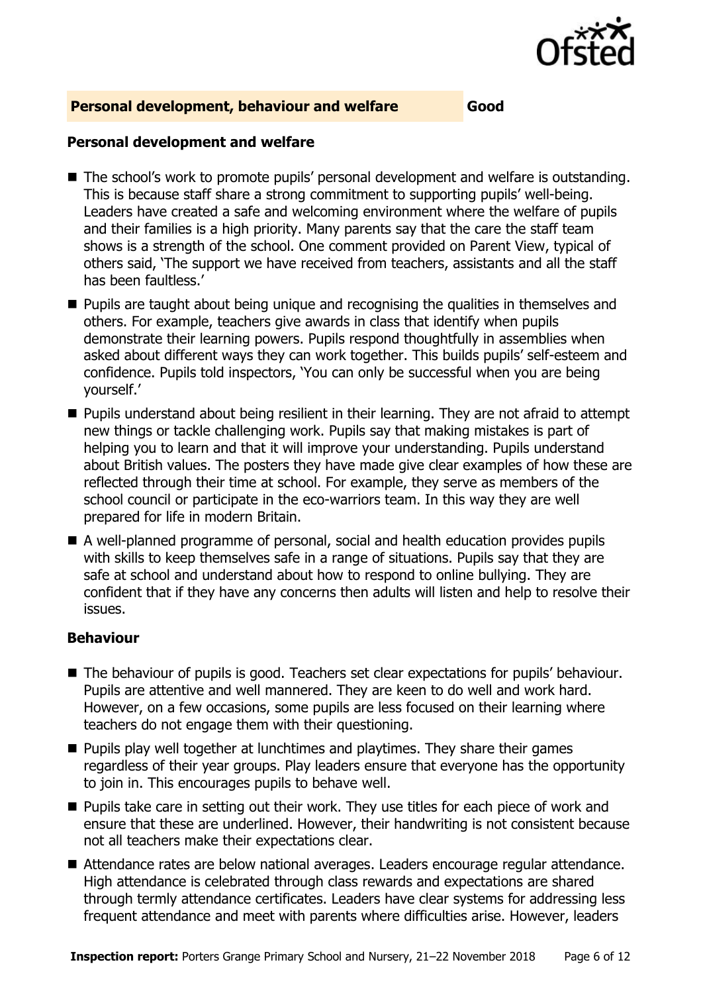

#### **Personal development, behaviour and welfare Good**

#### **Personal development and welfare**

- The school's work to promote pupils' personal development and welfare is outstanding. This is because staff share a strong commitment to supporting pupils' well-being. Leaders have created a safe and welcoming environment where the welfare of pupils and their families is a high priority. Many parents say that the care the staff team shows is a strength of the school. One comment provided on Parent View, typical of others said, 'The support we have received from teachers, assistants and all the staff has been faultless.'
- **Pupils are taught about being unique and recognising the qualities in themselves and** others. For example, teachers give awards in class that identify when pupils demonstrate their learning powers. Pupils respond thoughtfully in assemblies when asked about different ways they can work together. This builds pupils' self-esteem and confidence. Pupils told inspectors, 'You can only be successful when you are being yourself.'
- **Pupils understand about being resilient in their learning. They are not afraid to attempt** new things or tackle challenging work. Pupils say that making mistakes is part of helping you to learn and that it will improve your understanding. Pupils understand about British values. The posters they have made give clear examples of how these are reflected through their time at school. For example, they serve as members of the school council or participate in the eco-warriors team. In this way they are well prepared for life in modern Britain.
- A well-planned programme of personal, social and health education provides pupils with skills to keep themselves safe in a range of situations. Pupils say that they are safe at school and understand about how to respond to online bullying. They are confident that if they have any concerns then adults will listen and help to resolve their issues.

#### **Behaviour**

- The behaviour of pupils is good. Teachers set clear expectations for pupils' behaviour. Pupils are attentive and well mannered. They are keen to do well and work hard. However, on a few occasions, some pupils are less focused on their learning where teachers do not engage them with their questioning.
- **Pupils play well together at lunchtimes and playtimes. They share their games** regardless of their year groups. Play leaders ensure that everyone has the opportunity to join in. This encourages pupils to behave well.
- **Pupils take care in setting out their work. They use titles for each piece of work and** ensure that these are underlined. However, their handwriting is not consistent because not all teachers make their expectations clear.
- Attendance rates are below national averages. Leaders encourage regular attendance. High attendance is celebrated through class rewards and expectations are shared through termly attendance certificates. Leaders have clear systems for addressing less frequent attendance and meet with parents where difficulties arise. However, leaders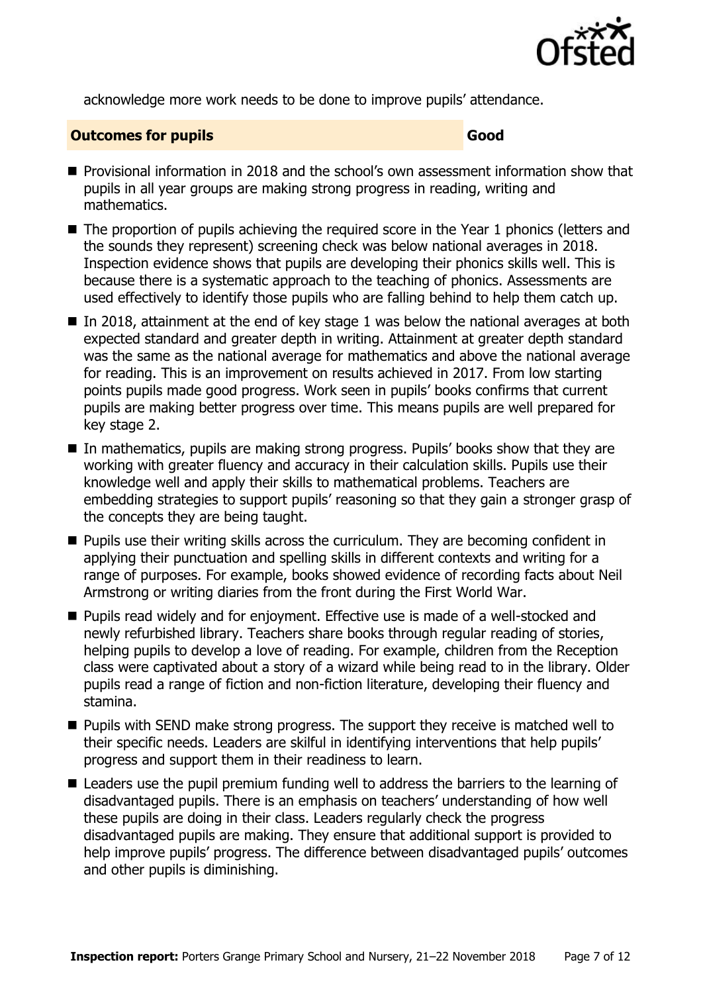

acknowledge more work needs to be done to improve pupils' attendance.

#### **Outcomes for pupils Good Good**

- **Provisional information in 2018 and the school's own assessment information show that** pupils in all year groups are making strong progress in reading, writing and mathematics.
- The proportion of pupils achieving the required score in the Year 1 phonics (letters and the sounds they represent) screening check was below national averages in 2018. Inspection evidence shows that pupils are developing their phonics skills well. This is because there is a systematic approach to the teaching of phonics. Assessments are used effectively to identify those pupils who are falling behind to help them catch up.
- In 2018, attainment at the end of key stage 1 was below the national averages at both expected standard and greater depth in writing. Attainment at greater depth standard was the same as the national average for mathematics and above the national average for reading. This is an improvement on results achieved in 2017. From low starting points pupils made good progress. Work seen in pupils' books confirms that current pupils are making better progress over time. This means pupils are well prepared for key stage 2.
- In mathematics, pupils are making strong progress. Pupils' books show that they are working with greater fluency and accuracy in their calculation skills. Pupils use their knowledge well and apply their skills to mathematical problems. Teachers are embedding strategies to support pupils' reasoning so that they gain a stronger grasp of the concepts they are being taught.
- **Pupils use their writing skills across the curriculum. They are becoming confident in** applying their punctuation and spelling skills in different contexts and writing for a range of purposes. For example, books showed evidence of recording facts about Neil Armstrong or writing diaries from the front during the First World War.
- **Pupils read widely and for enjoyment. Effective use is made of a well-stocked and** newly refurbished library. Teachers share books through regular reading of stories, helping pupils to develop a love of reading. For example, children from the Reception class were captivated about a story of a wizard while being read to in the library. Older pupils read a range of fiction and non-fiction literature, developing their fluency and stamina.
- **Pupils with SEND make strong progress. The support they receive is matched well to** their specific needs. Leaders are skilful in identifying interventions that help pupils' progress and support them in their readiness to learn.
- Leaders use the pupil premium funding well to address the barriers to the learning of disadvantaged pupils. There is an emphasis on teachers' understanding of how well these pupils are doing in their class. Leaders regularly check the progress disadvantaged pupils are making. They ensure that additional support is provided to help improve pupils' progress. The difference between disadvantaged pupils' outcomes and other pupils is diminishing.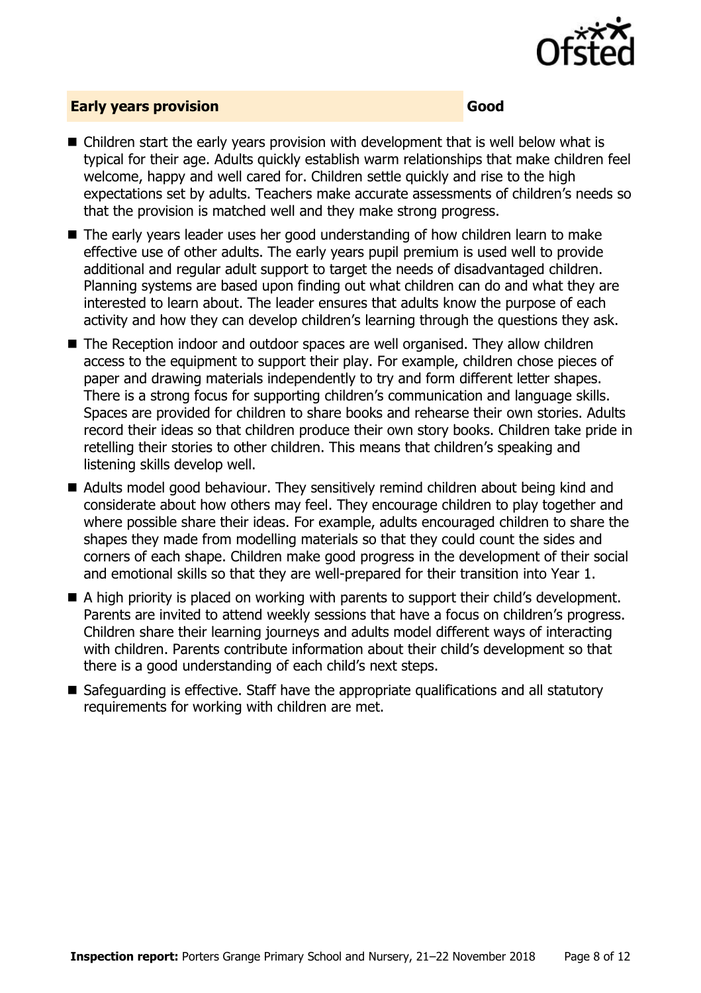

#### **Early years provision Good**

- Children start the early years provision with development that is well below what is typical for their age. Adults quickly establish warm relationships that make children feel welcome, happy and well cared for. Children settle quickly and rise to the high expectations set by adults. Teachers make accurate assessments of children's needs so that the provision is matched well and they make strong progress.
- The early years leader uses her good understanding of how children learn to make effective use of other adults. The early years pupil premium is used well to provide additional and regular adult support to target the needs of disadvantaged children. Planning systems are based upon finding out what children can do and what they are interested to learn about. The leader ensures that adults know the purpose of each activity and how they can develop children's learning through the questions they ask.
- The Reception indoor and outdoor spaces are well organised. They allow children access to the equipment to support their play. For example, children chose pieces of paper and drawing materials independently to try and form different letter shapes. There is a strong focus for supporting children's communication and language skills. Spaces are provided for children to share books and rehearse their own stories. Adults record their ideas so that children produce their own story books. Children take pride in retelling their stories to other children. This means that children's speaking and listening skills develop well.
- Adults model good behaviour. They sensitively remind children about being kind and considerate about how others may feel. They encourage children to play together and where possible share their ideas. For example, adults encouraged children to share the shapes they made from modelling materials so that they could count the sides and corners of each shape. Children make good progress in the development of their social and emotional skills so that they are well-prepared for their transition into Year 1.
- A high priority is placed on working with parents to support their child's development. Parents are invited to attend weekly sessions that have a focus on children's progress. Children share their learning journeys and adults model different ways of interacting with children. Parents contribute information about their child's development so that there is a good understanding of each child's next steps.
- Safeguarding is effective. Staff have the appropriate qualifications and all statutory requirements for working with children are met.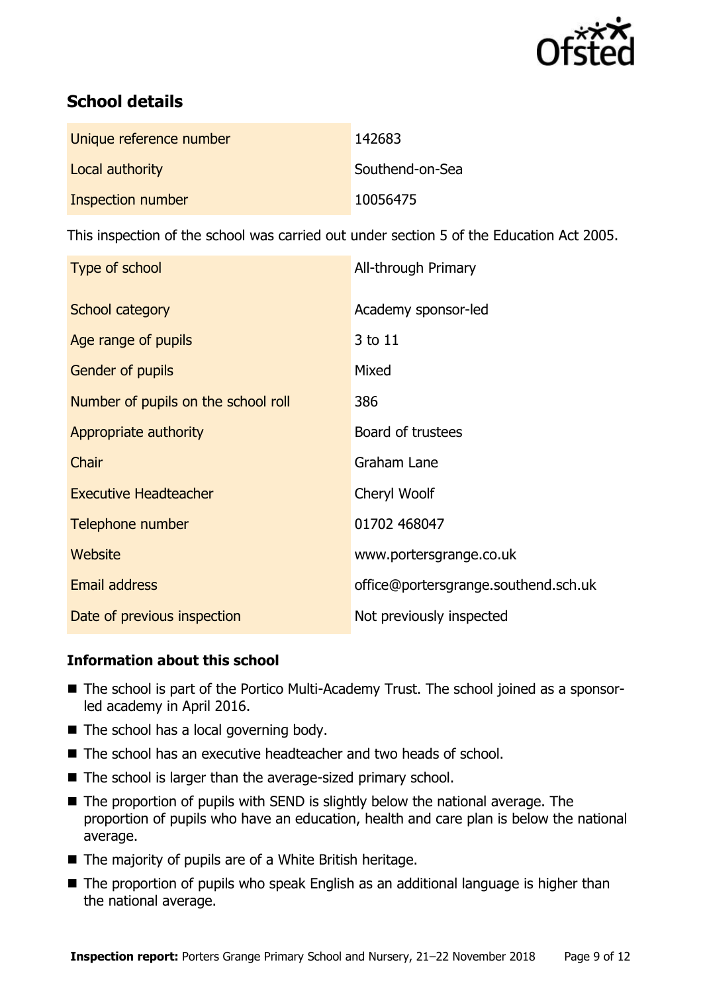

# **School details**

| Unique reference number | 142683          |
|-------------------------|-----------------|
| Local authority         | Southend-on-Sea |
| Inspection number       | 10056475        |

This inspection of the school was carried out under section 5 of the Education Act 2005.

| Type of school                      | All-through Primary                  |
|-------------------------------------|--------------------------------------|
| School category                     | Academy sponsor-led                  |
| Age range of pupils                 | 3 to 11                              |
| Gender of pupils                    | Mixed                                |
| Number of pupils on the school roll | 386                                  |
| Appropriate authority               | Board of trustees                    |
| Chair                               | Graham Lane                          |
| <b>Executive Headteacher</b>        | Cheryl Woolf                         |
| Telephone number                    | 01702 468047                         |
| Website                             | www.portersgrange.co.uk              |
| <b>Email address</b>                | office@portersgrange.southend.sch.uk |
| Date of previous inspection         | Not previously inspected             |

### **Information about this school**

- The school is part of the Portico Multi-Academy Trust. The school joined as a sponsorled academy in April 2016.
- The school has a local governing body.
- The school has an executive headteacher and two heads of school.
- The school is larger than the average-sized primary school.
- The proportion of pupils with SEND is slightly below the national average. The proportion of pupils who have an education, health and care plan is below the national average.
- $\blacksquare$  The majority of pupils are of a White British heritage.
- The proportion of pupils who speak English as an additional language is higher than the national average.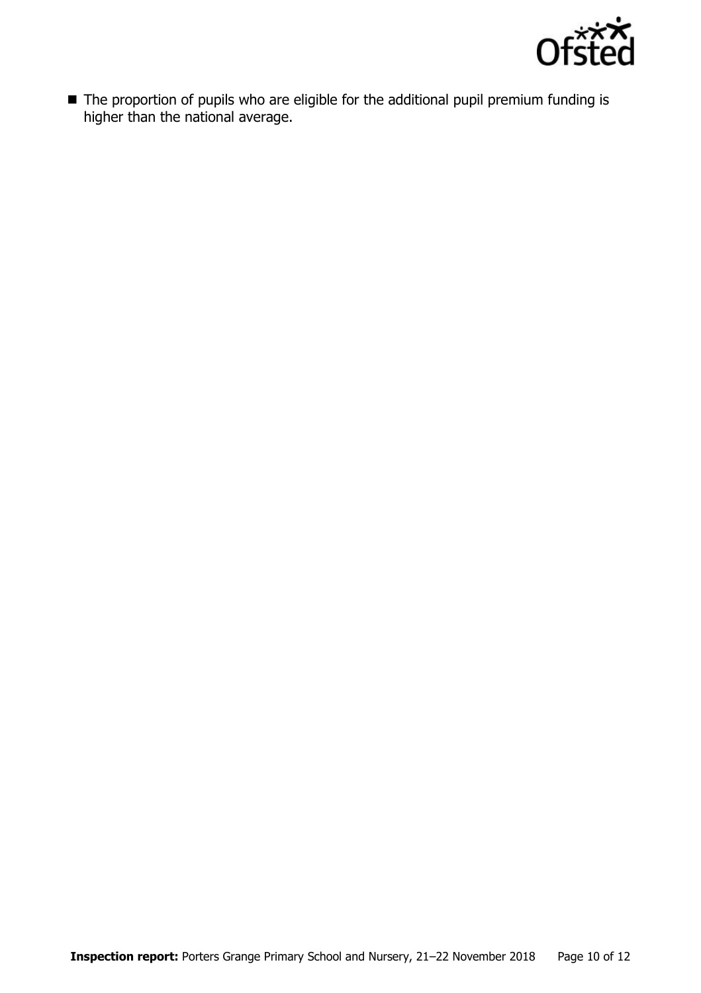

■ The proportion of pupils who are eligible for the additional pupil premium funding is higher than the national average.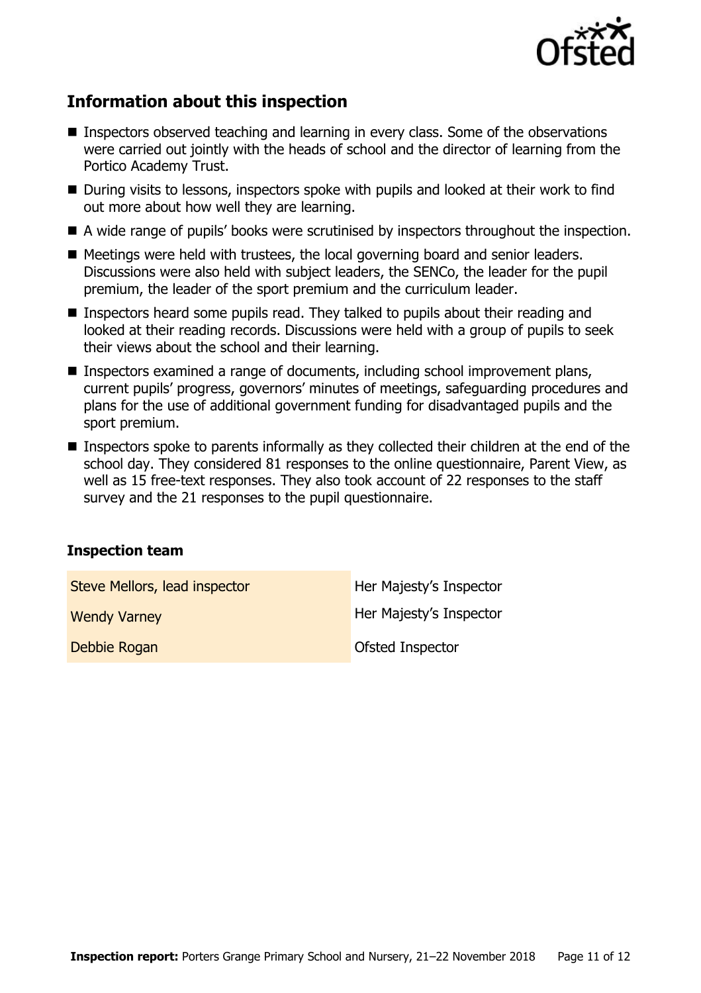

# **Information about this inspection**

- Inspectors observed teaching and learning in every class. Some of the observations were carried out jointly with the heads of school and the director of learning from the Portico Academy Trust.
- During visits to lessons, inspectors spoke with pupils and looked at their work to find out more about how well they are learning.
- A wide range of pupils' books were scrutinised by inspectors throughout the inspection.
- Meetings were held with trustees, the local governing board and senior leaders. Discussions were also held with subject leaders, the SENCo, the leader for the pupil premium, the leader of the sport premium and the curriculum leader.
- **Inspectors heard some pupils read. They talked to pupils about their reading and** looked at their reading records. Discussions were held with a group of pupils to seek their views about the school and their learning.
- Inspectors examined a range of documents, including school improvement plans, current pupils' progress, governors' minutes of meetings, safeguarding procedures and plans for the use of additional government funding for disadvantaged pupils and the sport premium.
- Inspectors spoke to parents informally as they collected their children at the end of the school day. They considered 81 responses to the online questionnaire, Parent View, as well as 15 free-text responses. They also took account of 22 responses to the staff survey and the 21 responses to the pupil questionnaire.

#### **Inspection team**

| Steve Mellors, lead inspector | Her Majesty's Inspector |
|-------------------------------|-------------------------|
| <b>Wendy Varney</b>           | Her Majesty's Inspector |
| Debbie Rogan                  | Ofsted Inspector        |